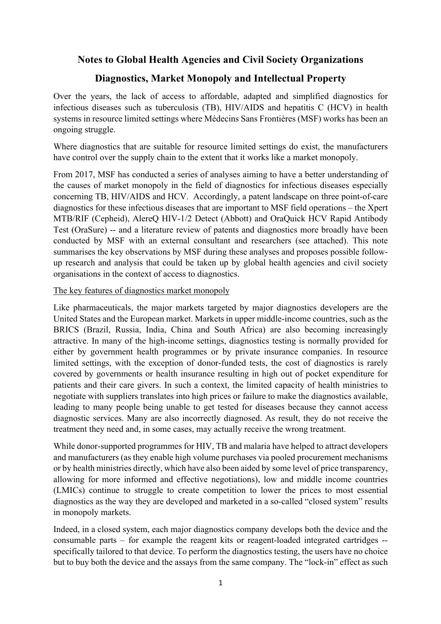# **Notes to Global Health Agencies and Civil Society Organizations**

## **Diagnostics, Market Monopoly and Intellectual Property**

Over the years, the lack of access to affordable, adapted and simplified diagnostics for infectious diseases such as tuberculosis (TB), HIV/AIDS and hepatitis C (HCV) in health systems in resource limited settings where Médecins Sans Frontières (MSF) works has been an ongoing struggle.

Where diagnostics that are suitable for resource limited settings do exist, the manufacturers have control over the supply chain to the extent that it works like a market monopoly.

From 2017, MSF has conducted a series of analyses aiming to have a better understanding of the causes of market monopoly in the field of diagnostics for infectious diseases especially concerning TB, HIV/AIDS and HCV. Accordingly, a patent landscape on three point-of-care diagnostics for these infectious diseases that are important to MSF field operations – the Xpert MTB/RIF (Cepheid), AlereQ HIV-1/2 Detect (Abbott) and OraQuick HCV Rapid Antibody Test (OraSure) -- and a literature review of patents and diagnostics more broadly have been conducted by MSF with an external consultant and researchers (see attached). This note summarises the key observations by MSF during these analyses and proposes possible followup research and analysis that could be taken up by global health agencies and civil society organisations in the context of access to diagnostics.

The key features of diagnostics market monopoly

Like pharmaceuticals, the major markets targeted by major diagnostics developers are the United States and the European market. Markets in upper middle-income countries, such as the BRICS (Brazil, Russia, India, China and South Africa) are also becoming increasingly attractive. In many of the high-income settings, diagnostics testing is normally provided for either by government health programmes or by private insurance companies. In resource limited settings, with the exception of donor-funded tests, the cost of diagnostics is rarely covered by governments or health insurance resulting in high out of pocket expenditure for patients and their care givers. In such a context, the limited capacity of health ministries to negotiate with suppliers translates into high prices or failure to make the diagnostics available, leading to many people being unable to get tested for diseases because they cannot access diagnostic services. Many are also incorrectly diagnosed. As result, they do not receive the treatment they need and, in some cases, may actually receive the wrong treatment.

While donor-supported programmes for HIV, TB and malaria have helped to attract developers and manufacturers (as they enable high volume purchases via pooled procurement mechanisms or by health ministries directly, which have also been aided by some level of price transparency, allowing for more informed and effective negotiations), low and middle income countries (LMICs) continue to struggle to create competition to lower the prices to most essential diagnostics as the way they are developed and marketed in a so-called "closed system" results in monopoly markets.

Indeed, in a closed system, each major diagnostics company develops both the device and the consumable parts – for example the reagent kits or reagent-loaded integrated cartridges - specifically tailored to that device. To perform the diagnostics testing, the users have no choice but to buy both the device and the assays from the same company. The "lock-in" effect as such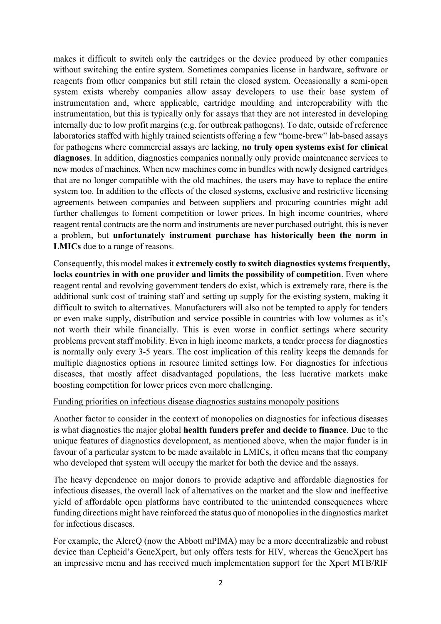makes it difficult to switch only the cartridges or the device produced by other companies without switching the entire system. Sometimes companies license in hardware, software or reagents from other companies but still retain the closed system. Occasionally a semi-open system exists whereby companies allow assay developers to use their base system of instrumentation and, where applicable, cartridge moulding and interoperability with the instrumentation, but this is typically only for assays that they are not interested in developing internally due to low profit margins (e.g. for outbreak pathogens). To date, outside of reference laboratories staffed with highly trained scientists offering a few "home-brew" lab-based assays for pathogens where commercial assays are lacking, **no truly open systems exist for clinical diagnoses**. In addition, diagnostics companies normally only provide maintenance services to new modes of machines. When new machines come in bundles with newly designed cartridges that are no longer compatible with the old machines, the users may have to replace the entire system too. In addition to the effects of the closed systems, exclusive and restrictive licensing agreements between companies and between suppliers and procuring countries might add further challenges to foment competition or lower prices. In high income countries, where reagent rental contracts are the norm and instruments are never purchased outright, this is never a problem, but **unfortunately instrument purchase has historically been the norm in LMICs** due to a range of reasons.

Consequently, this model makes it **extremely costly to switch diagnostics systems frequently, locks countries in with one provider and limits the possibility of competition**. Even where reagent rental and revolving government tenders do exist, which is extremely rare, there is the additional sunk cost of training staff and setting up supply for the existing system, making it difficult to switch to alternatives. Manufacturers will also not be tempted to apply for tenders or even make supply, distribution and service possible in countries with low volumes as it's not worth their while financially. This is even worse in conflict settings where security problems prevent staff mobility. Even in high income markets, a tender process for diagnostics is normally only every 3-5 years. The cost implication of this reality keeps the demands for multiple diagnostics options in resource limited settings low. For diagnostics for infectious diseases, that mostly affect disadvantaged populations, the less lucrative markets make boosting competition for lower prices even more challenging.

#### Funding priorities on infectious disease diagnostics sustains monopoly positions

Another factor to consider in the context of monopolies on diagnostics for infectious diseases is what diagnostics the major global **health funders prefer and decide to finance**. Due to the unique features of diagnostics development, as mentioned above, when the major funder is in favour of a particular system to be made available in LMICs, it often means that the company who developed that system will occupy the market for both the device and the assays.

The heavy dependence on major donors to provide adaptive and affordable diagnostics for infectious diseases, the overall lack of alternatives on the market and the slow and ineffective yield of affordable open platforms have contributed to the unintended consequences where funding directions might have reinforced the status quo of monopolies in the diagnostics market for infectious diseases.

For example, the AlereQ (now the Abbott mPIMA) may be a more decentralizable and robust device than Cepheid's GeneXpert, but only offers tests for HIV, whereas the GeneXpert has an impressive menu and has received much implementation support for the Xpert MTB/RIF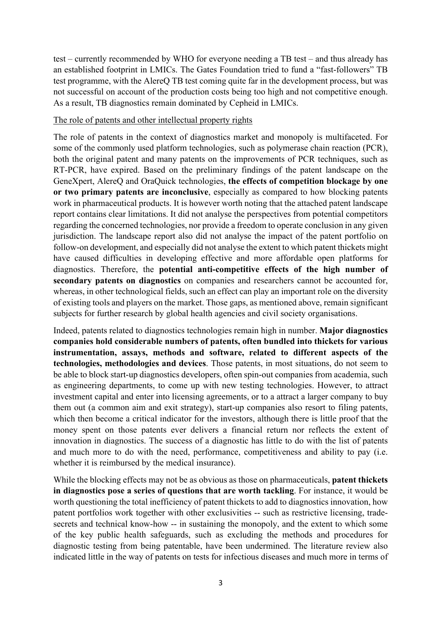test – currently recommended by WHO for everyone needing a TB test – and thus already has an established footprint in LMICs. The Gates Foundation tried to fund a "fast-followers" TB test programme, with the AlereQ TB test coming quite far in the development process, but was not successful on account of the production costs being too high and not competitive enough. As a result, TB diagnostics remain dominated by Cepheid in LMICs.

#### The role of patents and other intellectual property rights

The role of patents in the context of diagnostics market and monopoly is multifaceted. For some of the commonly used platform technologies, such as polymerase chain reaction (PCR), both the original patent and many patents on the improvements of PCR techniques, such as RT-PCR, have expired. Based on the preliminary findings of the patent landscape on the GeneXpert, AlereQ and OraQuick technologies, **the effects of competition blockage by one or two primary patents are inconclusive**, especially as compared to how blocking patents work in pharmaceutical products. It is however worth noting that the attached patent landscape report contains clear limitations. It did not analyse the perspectives from potential competitors regarding the concerned technologies, nor provide a freedom to operate conclusion in any given jurisdiction. The landscape report also did not analyse the impact of the patent portfolio on follow-on development, and especially did not analyse the extent to which patent thickets might have caused difficulties in developing effective and more affordable open platforms for diagnostics. Therefore, the **potential anti-competitive effects of the high number of secondary patents on diagnostics** on companies and researchers cannot be accounted for, whereas, in other technological fields, such an effect can play an important role on the diversity of existing tools and players on the market. Those gaps, as mentioned above, remain significant subjects for further research by global health agencies and civil society organisations.

Indeed, patents related to diagnostics technologies remain high in number. **Major diagnostics companies hold considerable numbers of patents, often bundled into thickets for various instrumentation, assays, methods and software, related to different aspects of the technologies, methodologies and devices**. Those patents, in most situations, do not seem to be able to block start-up diagnostics developers, often spin-out companies from academia, such as engineering departments, to come up with new testing technologies. However, to attract investment capital and enter into licensing agreements, or to a attract a larger company to buy them out (a common aim and exit strategy), start-up companies also resort to filing patents, which then become a critical indicator for the investors, although there is little proof that the money spent on those patents ever delivers a financial return nor reflects the extent of innovation in diagnostics. The success of a diagnostic has little to do with the list of patents and much more to do with the need, performance, competitiveness and ability to pay (i.e. whether it is reimbursed by the medical insurance).

While the blocking effects may not be as obvious as those on pharmaceuticals, **patent thickets in diagnostics pose a series of questions that are worth tackling**. For instance, it would be worth questioning the total inefficiency of patent thickets to add to diagnostics innovation, how patent portfolios work together with other exclusivities -- such as restrictive licensing, tradesecrets and technical know-how -- in sustaining the monopoly, and the extent to which some of the key public health safeguards, such as excluding the methods and procedures for diagnostic testing from being patentable, have been undermined. The literature review also indicated little in the way of patents on tests for infectious diseases and much more in terms of